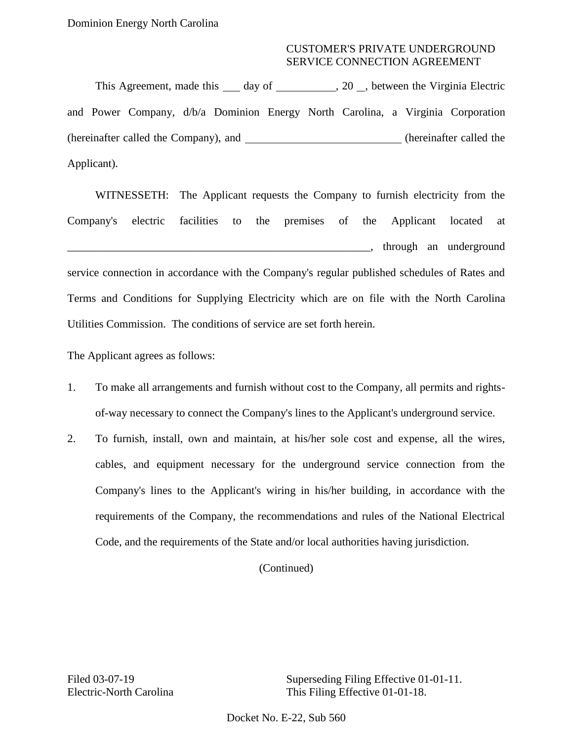## CUSTOMER'S PRIVATE UNDERGROUND SERVICE CONNECTION AGREEMENT

This Agreement, made this 100 day of 100  $\mu$ , 20 , between the Virginia Electric and Power Company, d/b/a Dominion Energy North Carolina, a Virginia Corporation (hereinafter called the Company), and \_\_\_\_\_\_\_\_\_\_\_\_\_\_\_\_\_\_\_\_\_\_\_\_(hereinafter called the Applicant).

 WITNESSETH: The Applicant requests the Company to furnish electricity from the Company's electric facilities to the premises of the Applicant located at service connection in accordance with the Company's regular published schedules of Rates and Terms and Conditions for Supplying Electricity which are on file with the North Carolina Utilities Commission. The conditions of service are set forth herein. \_\_\_\_\_\_\_\_\_\_\_\_\_\_\_\_\_\_\_\_\_\_\_\_\_\_\_\_\_\_\_\_\_\_\_\_\_\_\_\_\_\_\_\_\_\_\_\_\_\_\_\_\_\_, through an underground

The Applicant agrees as follows:

- 1. To make all arrangements and furnish without cost to the Company, all permits and rightsof-way necessary to connect the Company's lines to the Applicant's underground service.
- cables, and equipment necessary for the underground service connection from the Company's lines to the Applicant's wiring in his/her building, in accordance with the 2. To furnish, install, own and maintain, at his/her sole cost and expense, all the wires, requirements of the Company, the recommendations and rules of the National Electrical Code, and the requirements of the State and/or local authorities having jurisdiction.

(Continued)

 Electric-North Carolina This Filing Effective 01-01-18. Filed 03-07-19 Superseding Filing Effective 01-01-11.

Docket No. E-22, Sub 560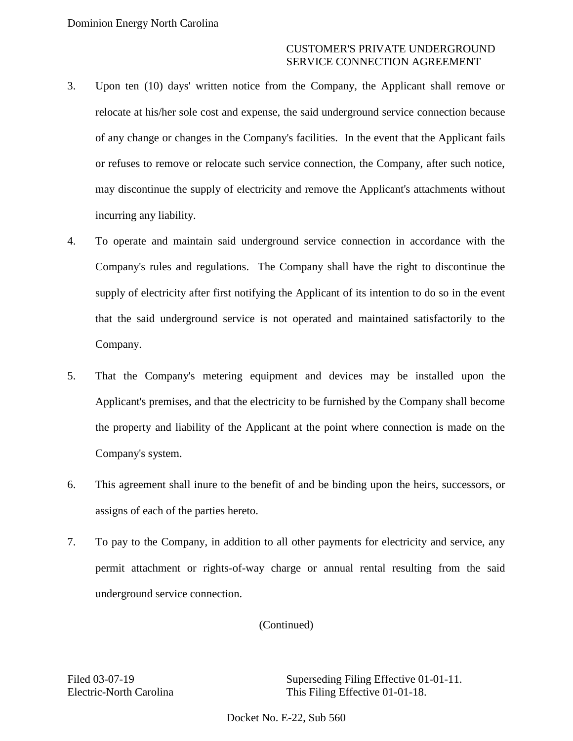## CUSTOMER'S PRIVATE UNDERGROUND SERVICE CONNECTION AGREEMENT

- 3. Upon ten (10) days' written notice from the Company, the Applicant shall remove or of any change or changes in the Company's facilities. In the event that the Applicant fails or refuses to remove or relocate such service connection, the Company, after such notice, may discontinue the supply of electricity and remove the Applicant's attachments without relocate at his/her sole cost and expense, the said underground service connection because incurring any liability.
- 4. To operate and maintain said underground service connection in accordance with the Company's rules and regulations. The Company shall have the right to discontinue the supply of electricity after first notifying the Applicant of its intention to do so in the event that the said underground service is not operated and maintained satisfactorily to the Company.
- 5. That the Company's metering equipment and devices may be installed upon the Applicant's premises, and that the electricity to be furnished by the Company shall become the property and liability of the Applicant at the point where connection is made on the Company's system.
- 6. This agreement shall inure to the benefit of and be binding upon the heirs, successors, or assigns of each of the parties hereto.
- 7. permit attachment or rights-of-way charge or annual rental resulting from the said underground service connection. To pay to the Company, in addition to all other payments for electricity and service, any

(Continued)

Filed 03-07-19 Superseding Filing Effective 01-01-11. Electric-North Carolina This Filing Effective 01-01-18.

Docket No. E-22, Sub 560